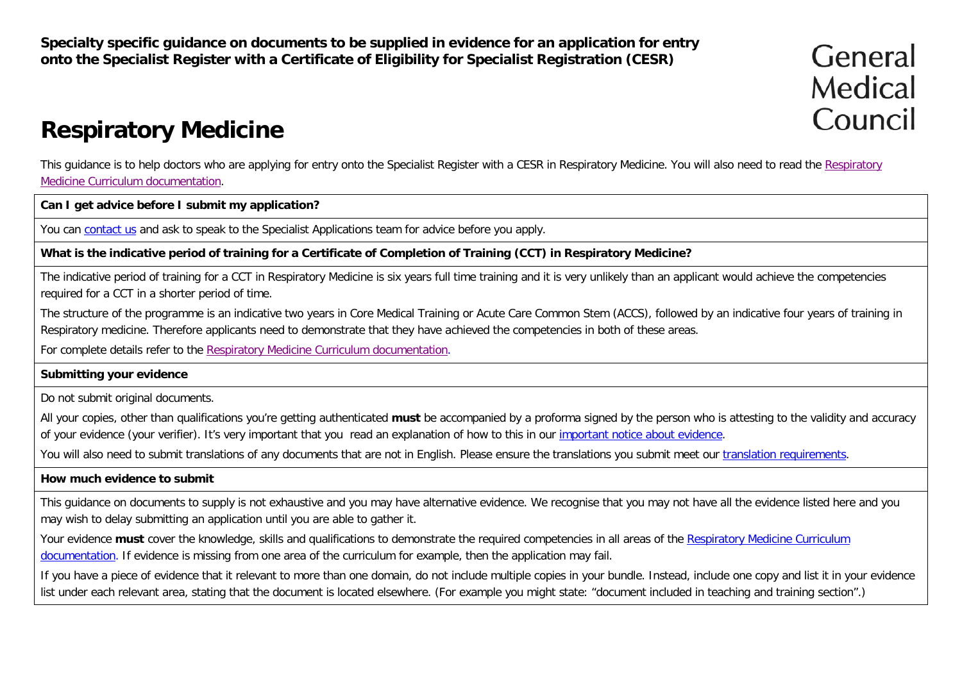**Specialty specific guidance on documents to be supplied in evidence for an application for entry onto the Specialist Register with a Certificate of Eligibility for Specialist Registration (CESR)**

# General Medical Council

## **Respiratory Medicine**

This guidance is to help doctors who are applying for entry onto the Specialist Register with a CESR in Respiratory Medicine. You will also need to read the [Respiratory](http://www.gmc-uk.org/education/postgraduate/respiratory_medicine.asp)  [Medicine Curriculum documentation.](http://www.gmc-uk.org/education/postgraduate/respiratory_medicine.asp)

**Can I get advice before I submit my application?**

You can [contact us](http://www.gmc-uk.org/contact.asp) and ask to speak to the Specialist Applications team for advice before you apply.

**What is the indicative period of training for a Certificate of Completion of Training (CCT) in Respiratory Medicine?**

The indicative period of training for a CCT in Respiratory Medicine is six years full time training and it is very unlikely than an applicant would achieve the competencies required for a CCT in a shorter period of time.

The structure of the programme is an indicative two years in Core Medical Training or Acute Care Common Stem (ACCS), followed by an indicative four years of training in Respiratory medicine. Therefore applicants need to demonstrate that they have achieved the competencies in both of these areas.

For complete details refer to the [Respiratory Medicine Curriculum documentation.](https://www.gmc-uk.org/education/standards-guidance-and-curricula/curricula/respiratory-medicine-curriculum)

#### **Submitting your evidence**

Do not submit original documents.

All your copies, other than qualifications you're getting authenticated **must** be accompanied by a proforma signed by the person who is attesting to the validity and accuracy of your evidence (your verifier). It's very important that you read an explanation of how to this in our [important notice about evidence.](http://www.gmc-uk.org/doctors/evidence_notice.asp)

You will also need to submit translations of any documents that are not in English. Please ensure the translations you submit meet our [translation requirements.](http://www.gmc-uk.org/doctors/translations.asp)

#### **How much evidence to submit**

This guidance on documents to supply is not exhaustive and you may have alternative evidence. We recognise that you may not have all the evidence listed here and you may wish to delay submitting an application until you are able to gather it.

Your evidence **must** cover the knowledge, skills and qualifications to demonstrate the required competencies in all areas of the Respiratory Medicine Curriculum [documentation.](http://www.gmc-uk.org/education/postgraduate/renal_medicine.asp) If evidence is missing from one area of the curriculum for example, then the application may fail.

If you have a piece of evidence that it relevant to more than one domain, do not include multiple copies in your bundle. Instead, include one copy and list it in your evidence list under each relevant area, stating that the document is located elsewhere. (For example you might state: "document included in teaching and training section".)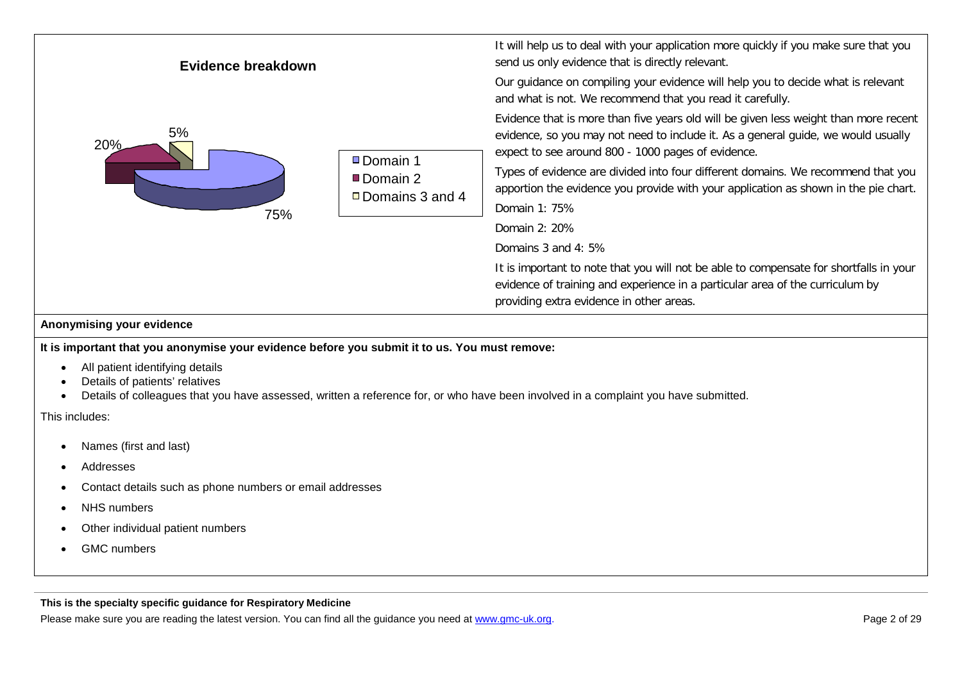

#### **Anonymising your evidence**

**It is important that you anonymise your evidence before you submit it to us. You must remove:**

- All patient identifying details
- Details of patients' relatives
- Details of colleagues that you have assessed, written a reference for, or who have been involved in a complaint you have submitted.

This includes:

- Names (first and last)
- Addresses
- Contact details such as phone numbers or email addresses
- **NHS** numbers
- Other individual patient numbers
- GMC numbers

**This is the specialty specific guidance for Respiratory Medicine**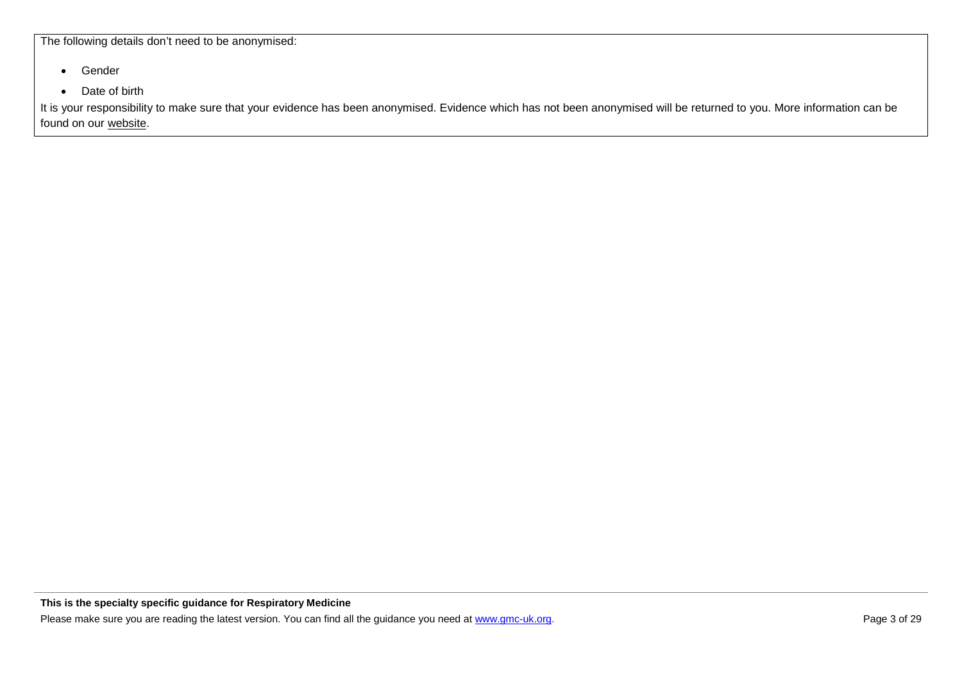The following details don't need to be anonymised:

- Gender
- Date of birth

It is your responsibility to make sure that your evidence has been anonymised. Evidence which has not been anonymised will be returned to you. More information can be found on our [website.](http://www.gmc-uk.org/doctors/24769.asp)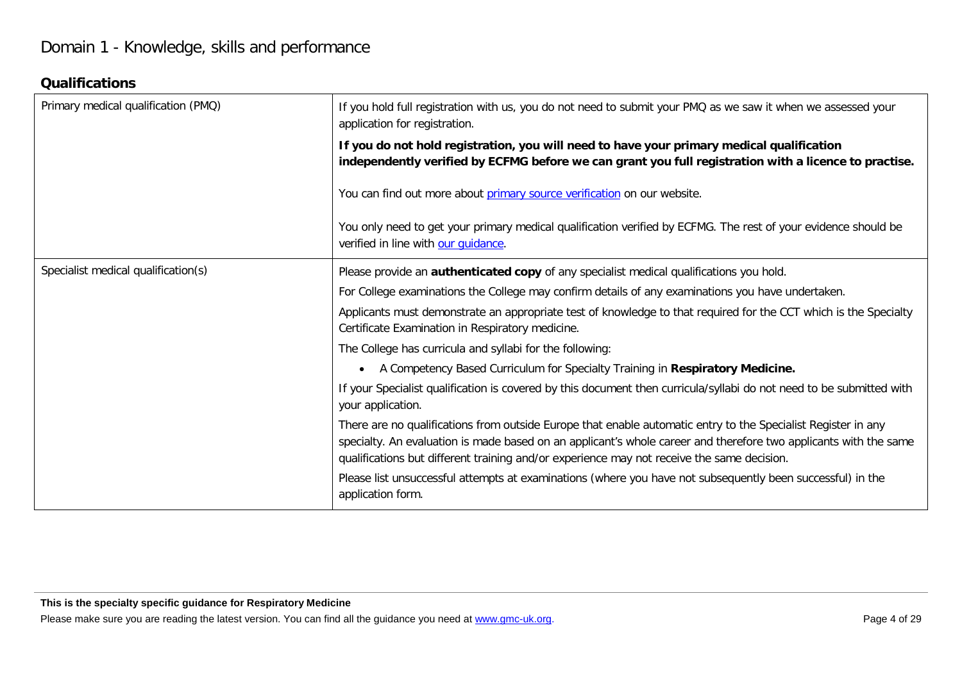#### **Qualifications**

| Primary medical qualification (PMQ) | If you hold full registration with us, you do not need to submit your PMQ as we saw it when we assessed your<br>application for registration.                                                                                                                                                                                   |
|-------------------------------------|---------------------------------------------------------------------------------------------------------------------------------------------------------------------------------------------------------------------------------------------------------------------------------------------------------------------------------|
|                                     | If you do not hold registration, you will need to have your primary medical qualification<br>independently verified by ECFMG before we can grant you full registration with a licence to practise.                                                                                                                              |
|                                     | You can find out more about primary source verification on our website.                                                                                                                                                                                                                                                         |
|                                     | You only need to get your primary medical qualification verified by ECFMG. The rest of your evidence should be<br>verified in line with our quidance.                                                                                                                                                                           |
| Specialist medical qualification(s) | Please provide an authenticated copy of any specialist medical qualifications you hold.                                                                                                                                                                                                                                         |
|                                     | For College examinations the College may confirm details of any examinations you have undertaken.                                                                                                                                                                                                                               |
|                                     | Applicants must demonstrate an appropriate test of knowledge to that required for the CCT which is the Specialty<br>Certificate Examination in Respiratory medicine.                                                                                                                                                            |
|                                     | The College has curricula and syllabi for the following:                                                                                                                                                                                                                                                                        |
|                                     | A Competency Based Curriculum for Specialty Training in Respiratory Medicine.                                                                                                                                                                                                                                                   |
|                                     | If your Specialist qualification is covered by this document then curricula/syllabi do not need to be submitted with<br>your application.                                                                                                                                                                                       |
|                                     | There are no qualifications from outside Europe that enable automatic entry to the Specialist Register in any<br>specialty. An evaluation is made based on an applicant's whole career and therefore two applicants with the same<br>qualifications but different training and/or experience may not receive the same decision. |
|                                     | Please list unsuccessful attempts at examinations (where you have not subsequently been successful) in the<br>application form.                                                                                                                                                                                                 |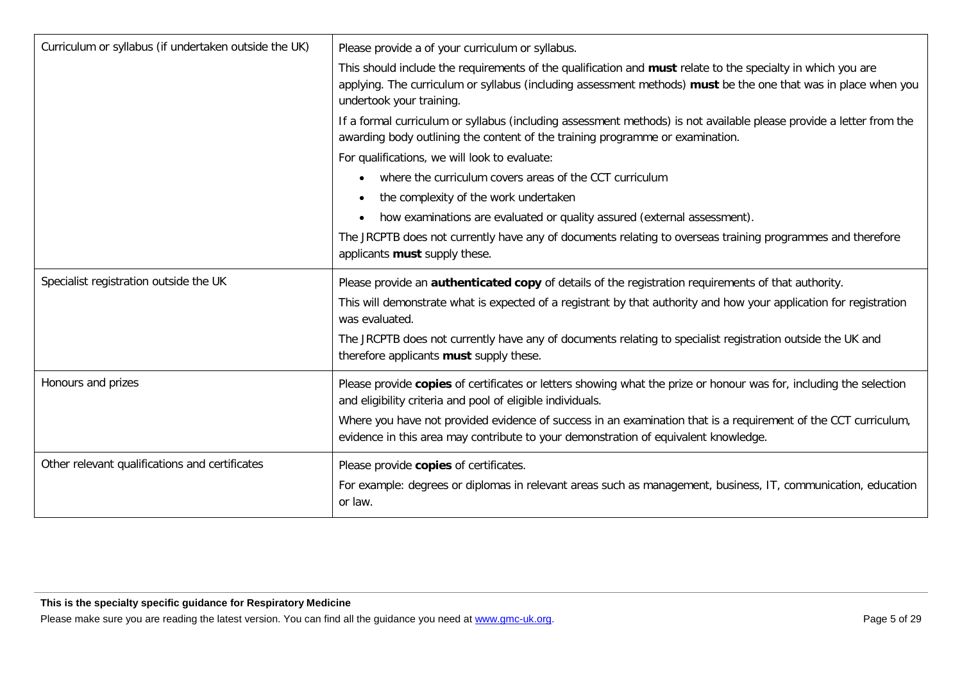| Curriculum or syllabus (if undertaken outside the UK) | Please provide a of your curriculum or syllabus.                                                                                                                                                                                                          |
|-------------------------------------------------------|-----------------------------------------------------------------------------------------------------------------------------------------------------------------------------------------------------------------------------------------------------------|
|                                                       | This should include the requirements of the qualification and must relate to the specialty in which you are<br>applying. The curriculum or syllabus (including assessment methods) must be the one that was in place when you<br>undertook your training. |
|                                                       | If a formal curriculum or syllabus (including assessment methods) is not available please provide a letter from the<br>awarding body outlining the content of the training programme or examination.                                                      |
|                                                       | For qualifications, we will look to evaluate:                                                                                                                                                                                                             |
|                                                       | where the curriculum covers areas of the CCT curriculum<br>$\bullet$                                                                                                                                                                                      |
|                                                       | the complexity of the work undertaken<br>$\bullet$                                                                                                                                                                                                        |
|                                                       | how examinations are evaluated or quality assured (external assessment).<br>$\bullet$                                                                                                                                                                     |
|                                                       | The JRCPTB does not currently have any of documents relating to overseas training programmes and therefore<br>applicants must supply these.                                                                                                               |
| Specialist registration outside the UK                | Please provide an <b>authenticated copy</b> of details of the registration requirements of that authority.                                                                                                                                                |
|                                                       | This will demonstrate what is expected of a registrant by that authority and how your application for registration<br>was evaluated.                                                                                                                      |
|                                                       | The JRCPTB does not currently have any of documents relating to specialist registration outside the UK and<br>therefore applicants must supply these.                                                                                                     |
| Honours and prizes                                    | Please provide copies of certificates or letters showing what the prize or honour was for, including the selection<br>and eligibility criteria and pool of eligible individuals.                                                                          |
|                                                       | Where you have not provided evidence of success in an examination that is a requirement of the CCT curriculum,<br>evidence in this area may contribute to your demonstration of equivalent knowledge.                                                     |
| Other relevant qualifications and certificates        | Please provide copies of certificates.<br>For example: degrees or diplomas in relevant areas such as management, business, IT, communication, education<br>or law.                                                                                        |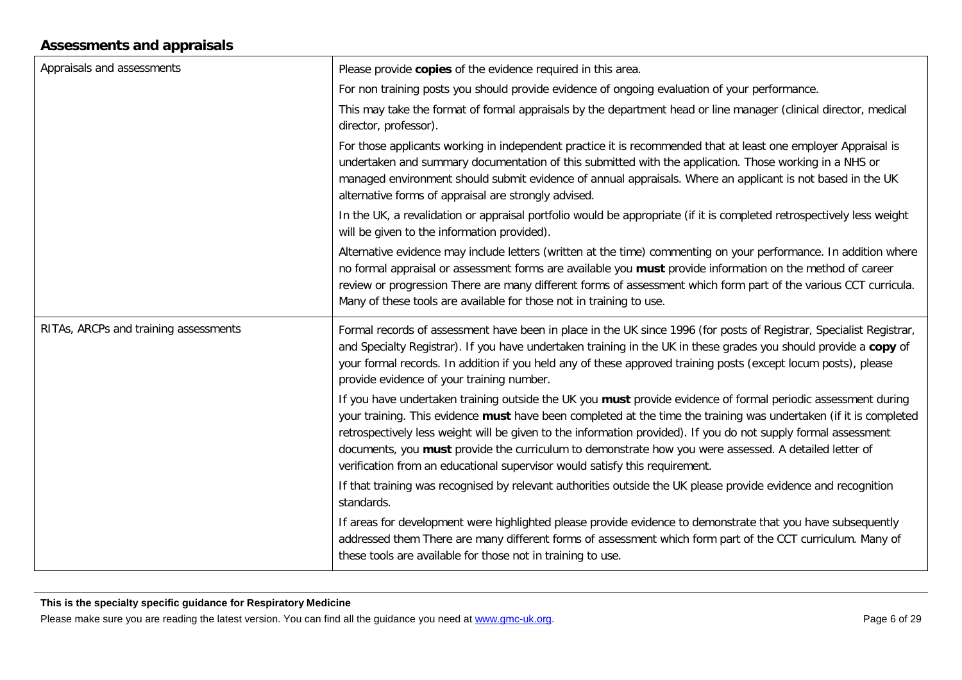#### **Assessments and appraisals**

| Appraisals and assessments            | Please provide copies of the evidence required in this area.                                                                                                                                                                                                                                                                                                                                                                                                                                                                                 |
|---------------------------------------|----------------------------------------------------------------------------------------------------------------------------------------------------------------------------------------------------------------------------------------------------------------------------------------------------------------------------------------------------------------------------------------------------------------------------------------------------------------------------------------------------------------------------------------------|
|                                       | For non training posts you should provide evidence of ongoing evaluation of your performance.                                                                                                                                                                                                                                                                                                                                                                                                                                                |
|                                       | This may take the format of formal appraisals by the department head or line manager (clinical director, medical<br>director, professor).                                                                                                                                                                                                                                                                                                                                                                                                    |
|                                       | For those applicants working in independent practice it is recommended that at least one employer Appraisal is<br>undertaken and summary documentation of this submitted with the application. Those working in a NHS or<br>managed environment should submit evidence of annual appraisals. Where an applicant is not based in the UK<br>alternative forms of appraisal are strongly advised.                                                                                                                                               |
|                                       | In the UK, a revalidation or appraisal portfolio would be appropriate (if it is completed retrospectively less weight<br>will be given to the information provided).                                                                                                                                                                                                                                                                                                                                                                         |
|                                       | Alternative evidence may include letters (written at the time) commenting on your performance. In addition where<br>no formal appraisal or assessment forms are available you must provide information on the method of career<br>review or progression There are many different forms of assessment which form part of the various CCT curricula.<br>Many of these tools are available for those not in training to use.                                                                                                                    |
| RITAs, ARCPs and training assessments | Formal records of assessment have been in place in the UK since 1996 (for posts of Registrar, Specialist Registrar,<br>and Specialty Registrar). If you have undertaken training in the UK in these grades you should provide a copy of<br>your formal records. In addition if you held any of these approved training posts (except locum posts), please<br>provide evidence of your training number.                                                                                                                                       |
|                                       | If you have undertaken training outside the UK you must provide evidence of formal periodic assessment during<br>your training. This evidence must have been completed at the time the training was undertaken (if it is completed<br>retrospectively less weight will be given to the information provided). If you do not supply formal assessment<br>documents, you must provide the curriculum to demonstrate how you were assessed. A detailed letter of<br>verification from an educational supervisor would satisfy this requirement. |
|                                       | If that training was recognised by relevant authorities outside the UK please provide evidence and recognition<br>standards.                                                                                                                                                                                                                                                                                                                                                                                                                 |
|                                       | If areas for development were highlighted please provide evidence to demonstrate that you have subsequently<br>addressed them There are many different forms of assessment which form part of the CCT curriculum. Many of<br>these tools are available for those not in training to use.                                                                                                                                                                                                                                                     |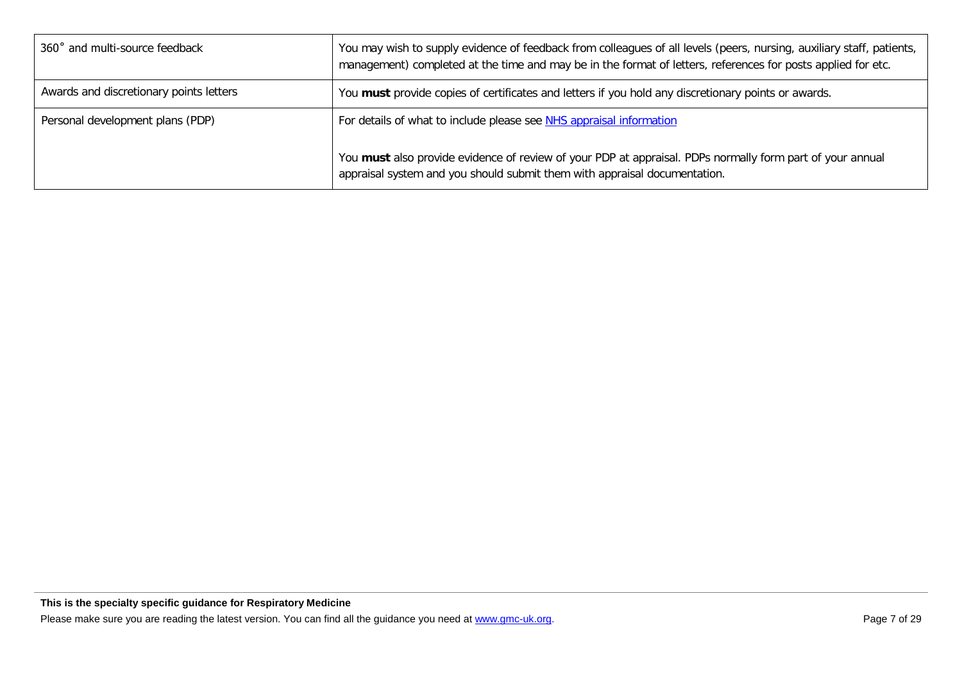| 360° and multi-source feedback          | You may wish to supply evidence of feedback from colleagues of all levels (peers, nursing, auxiliary staff, patients,<br>management) completed at the time and may be in the format of letters, references for posts applied for etc. |
|-----------------------------------------|---------------------------------------------------------------------------------------------------------------------------------------------------------------------------------------------------------------------------------------|
| Awards and discretionary points letters | You must provide copies of certificates and letters if you hold any discretionary points or awards.                                                                                                                                   |
| Personal development plans (PDP)        | For details of what to include please see NHS appraisal information                                                                                                                                                                   |
|                                         | You must also provide evidence of review of your PDP at appraisal. PDPs normally form part of your annual<br>appraisal system and you should submit them with appraisal documentation.                                                |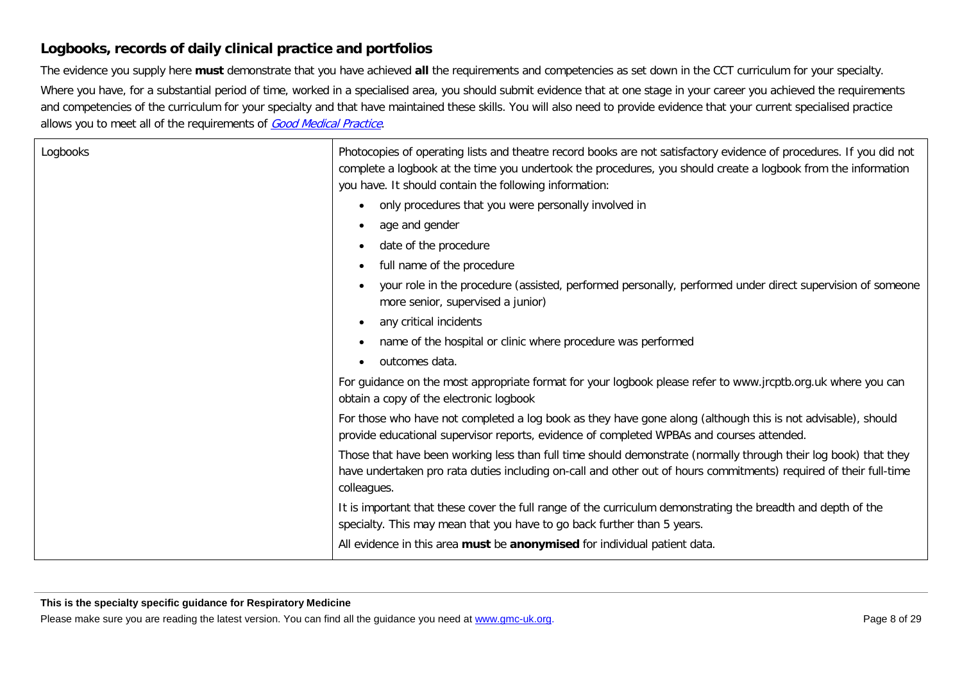#### **Logbooks, records of daily clinical practice and portfolios**

The evidence you supply here **must** demonstrate that you have achieved **all** the requirements and competencies as set down in the CCT curriculum for your specialty.

Where you have, for a substantial period of time, worked in a specialised area, you should submit evidence that at one stage in your career you achieved the requirements and competencies of the curriculum for your specialty and that have maintained these skills. You will also need to provide evidence that your current specialised practice allows you to meet all of the requirements of [Good Medical Practice](http://www.gmc-uk.org/guidance/good_medical_practice.asp).

| Logbooks | Photocopies of operating lists and theatre record books are not satisfactory evidence of procedures. If you did not<br>complete a logbook at the time you undertook the procedures, you should create a logbook from the information<br>you have. It should contain the following information: |
|----------|------------------------------------------------------------------------------------------------------------------------------------------------------------------------------------------------------------------------------------------------------------------------------------------------|
|          | only procedures that you were personally involved in<br>$\bullet$                                                                                                                                                                                                                              |
|          | age and gender<br>$\bullet$                                                                                                                                                                                                                                                                    |
|          | date of the procedure<br>$\bullet$                                                                                                                                                                                                                                                             |
|          | full name of the procedure<br>$\bullet$                                                                                                                                                                                                                                                        |
|          | your role in the procedure (assisted, performed personally, performed under direct supervision of someone<br>more senior, supervised a junior)                                                                                                                                                 |
|          | any critical incidents<br>$\bullet$                                                                                                                                                                                                                                                            |
|          | name of the hospital or clinic where procedure was performed<br>$\bullet$                                                                                                                                                                                                                      |
|          | outcomes data.<br>$\bullet$                                                                                                                                                                                                                                                                    |
|          | For guidance on the most appropriate format for your logbook please refer to www.jrcptb.org.uk where you can<br>obtain a copy of the electronic logbook                                                                                                                                        |
|          | For those who have not completed a log book as they have gone along (although this is not advisable), should<br>provide educational supervisor reports, evidence of completed WPBAs and courses attended.                                                                                      |
|          | Those that have been working less than full time should demonstrate (normally through their log book) that they<br>have undertaken pro rata duties including on-call and other out of hours commitments) required of their full-time<br>colleagues.                                            |
|          | It is important that these cover the full range of the curriculum demonstrating the breadth and depth of the<br>specialty. This may mean that you have to go back further than 5 years.                                                                                                        |
|          | All evidence in this area must be anonymised for individual patient data.                                                                                                                                                                                                                      |

#### **This is the specialty specific guidance for Respiratory Medicine**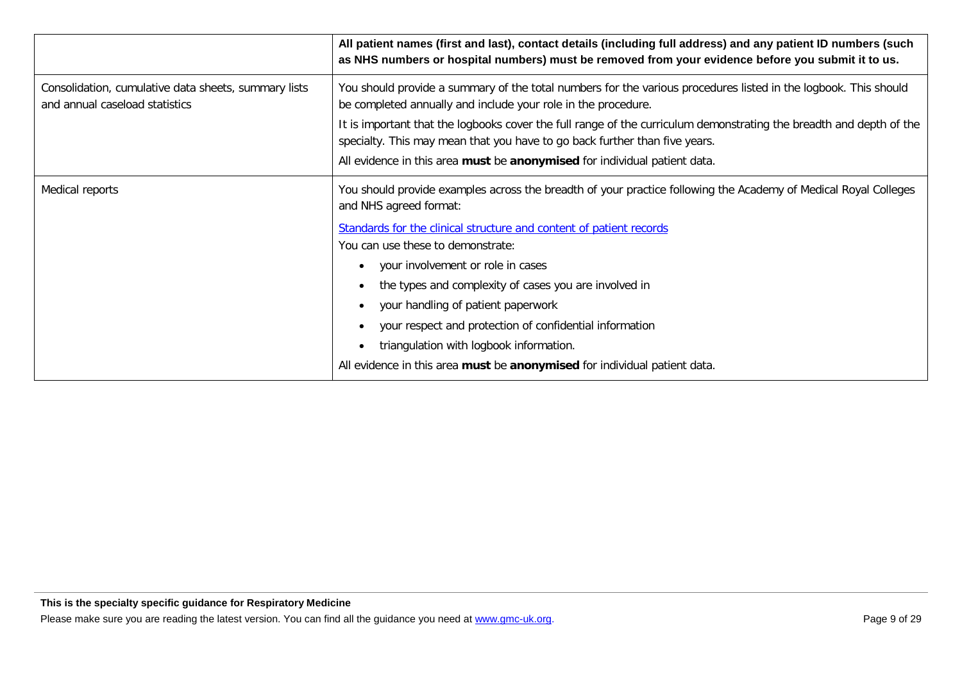|                                                                                        | All patient names (first and last), contact details (including full address) and any patient ID numbers (such<br>as NHS numbers or hospital numbers) must be removed from your evidence before you submit it to us.                                                                                                                                                                                                                                                                                                                                                                                                 |
|----------------------------------------------------------------------------------------|---------------------------------------------------------------------------------------------------------------------------------------------------------------------------------------------------------------------------------------------------------------------------------------------------------------------------------------------------------------------------------------------------------------------------------------------------------------------------------------------------------------------------------------------------------------------------------------------------------------------|
| Consolidation, cumulative data sheets, summary lists<br>and annual caseload statistics | You should provide a summary of the total numbers for the various procedures listed in the logbook. This should<br>be completed annually and include your role in the procedure.<br>It is important that the logbooks cover the full range of the curriculum demonstrating the breadth and depth of the<br>specialty. This may mean that you have to go back further than five years.<br>All evidence in this area must be anonymised for individual patient data.                                                                                                                                                  |
| Medical reports                                                                        | You should provide examples across the breadth of your practice following the Academy of Medical Royal Colleges<br>and NHS agreed format:<br>Standards for the clinical structure and content of patient records<br>You can use these to demonstrate:<br>your involvement or role in cases<br>$\bullet$<br>the types and complexity of cases you are involved in<br>$\bullet$<br>your handling of patient paperwork<br>$\bullet$<br>your respect and protection of confidential information<br>triangulation with logbook information.<br>All evidence in this area must be anonymised for individual patient data. |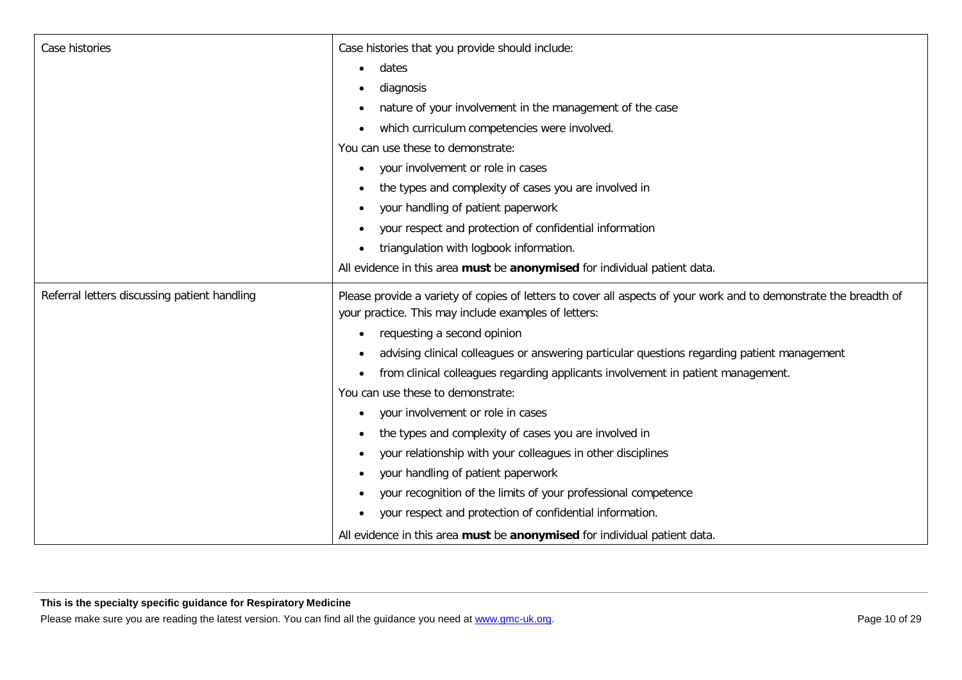| Case histories                               | Case histories that you provide should include:                                                                                                                           |
|----------------------------------------------|---------------------------------------------------------------------------------------------------------------------------------------------------------------------------|
|                                              | dates                                                                                                                                                                     |
|                                              | diagnosis                                                                                                                                                                 |
|                                              | nature of your involvement in the management of the case                                                                                                                  |
|                                              | which curriculum competencies were involved.                                                                                                                              |
|                                              | You can use these to demonstrate:                                                                                                                                         |
|                                              | your involvement or role in cases<br>$\bullet$                                                                                                                            |
|                                              | the types and complexity of cases you are involved in<br>$\bullet$                                                                                                        |
|                                              | your handling of patient paperwork                                                                                                                                        |
|                                              | your respect and protection of confidential information<br>$\bullet$                                                                                                      |
|                                              | triangulation with logbook information.<br>$\bullet$                                                                                                                      |
|                                              | All evidence in this area must be anonymised for individual patient data.                                                                                                 |
| Referral letters discussing patient handling | Please provide a variety of copies of letters to cover all aspects of your work and to demonstrate the breadth of<br>your practice. This may include examples of letters: |
|                                              | requesting a second opinion                                                                                                                                               |
|                                              | advising clinical colleagues or answering particular questions regarding patient management<br>$\bullet$                                                                  |
|                                              | from clinical colleagues regarding applicants involvement in patient management.                                                                                          |
|                                              | You can use these to demonstrate:                                                                                                                                         |
|                                              | your involvement or role in cases<br>$\bullet$                                                                                                                            |
|                                              | the types and complexity of cases you are involved in<br>$\bullet$                                                                                                        |
|                                              | your relationship with your colleagues in other disciplines<br>٠                                                                                                          |
|                                              | your handling of patient paperwork<br>$\bullet$                                                                                                                           |
|                                              | your recognition of the limits of your professional competence                                                                                                            |
|                                              | your respect and protection of confidential information.                                                                                                                  |
|                                              | All evidence in this area must be anonymised for individual patient data.                                                                                                 |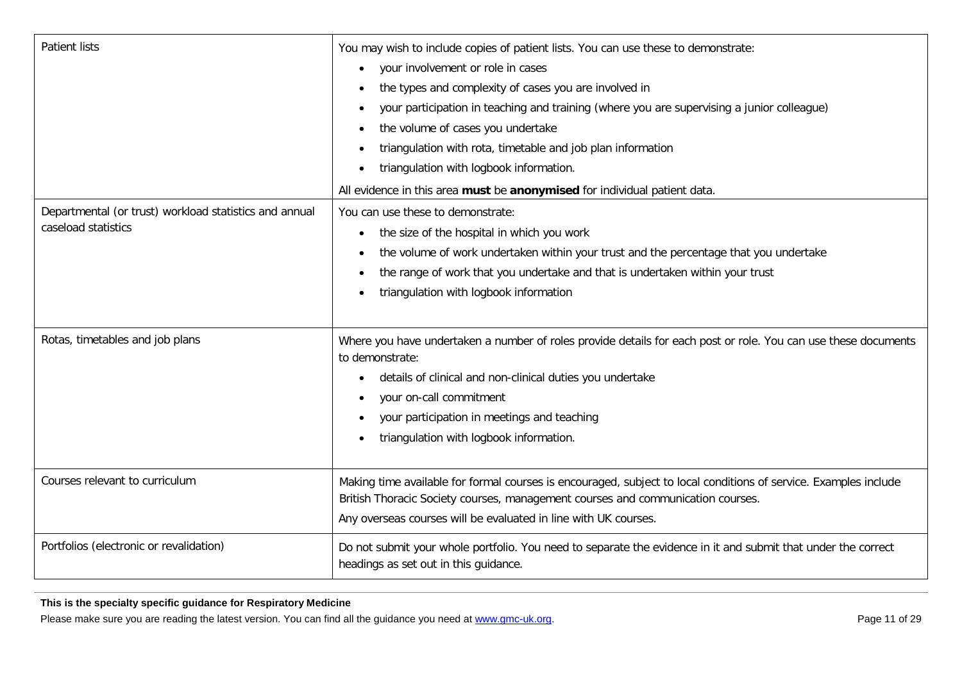| <b>Patient lists</b>                                                          | You may wish to include copies of patient lists. You can use these to demonstrate:<br>your involvement or role in cases<br>$\bullet$<br>the types and complexity of cases you are involved in<br>your participation in teaching and training (where you are supervising a junior colleague)<br>the volume of cases you undertake<br>triangulation with rota, timetable and job plan information<br>triangulation with logbook information.<br>All evidence in this area must be anonymised for individual patient data. |
|-------------------------------------------------------------------------------|-------------------------------------------------------------------------------------------------------------------------------------------------------------------------------------------------------------------------------------------------------------------------------------------------------------------------------------------------------------------------------------------------------------------------------------------------------------------------------------------------------------------------|
| Departmental (or trust) workload statistics and annual<br>caseload statistics | You can use these to demonstrate:<br>the size of the hospital in which you work<br>$\bullet$<br>the volume of work undertaken within your trust and the percentage that you undertake<br>the range of work that you undertake and that is undertaken within your trust<br>$\bullet$<br>triangulation with logbook information                                                                                                                                                                                           |
| Rotas, timetables and job plans                                               | Where you have undertaken a number of roles provide details for each post or role. You can use these documents<br>to demonstrate:<br>details of clinical and non-clinical duties you undertake<br>your on-call commitment<br>your participation in meetings and teaching<br>$\bullet$<br>triangulation with logbook information.                                                                                                                                                                                        |
| Courses relevant to curriculum                                                | Making time available for formal courses is encouraged, subject to local conditions of service. Examples include<br>British Thoracic Society courses, management courses and communication courses.<br>Any overseas courses will be evaluated in line with UK courses.                                                                                                                                                                                                                                                  |
| Portfolios (electronic or revalidation)                                       | Do not submit your whole portfolio. You need to separate the evidence in it and submit that under the correct<br>headings as set out in this guidance.                                                                                                                                                                                                                                                                                                                                                                  |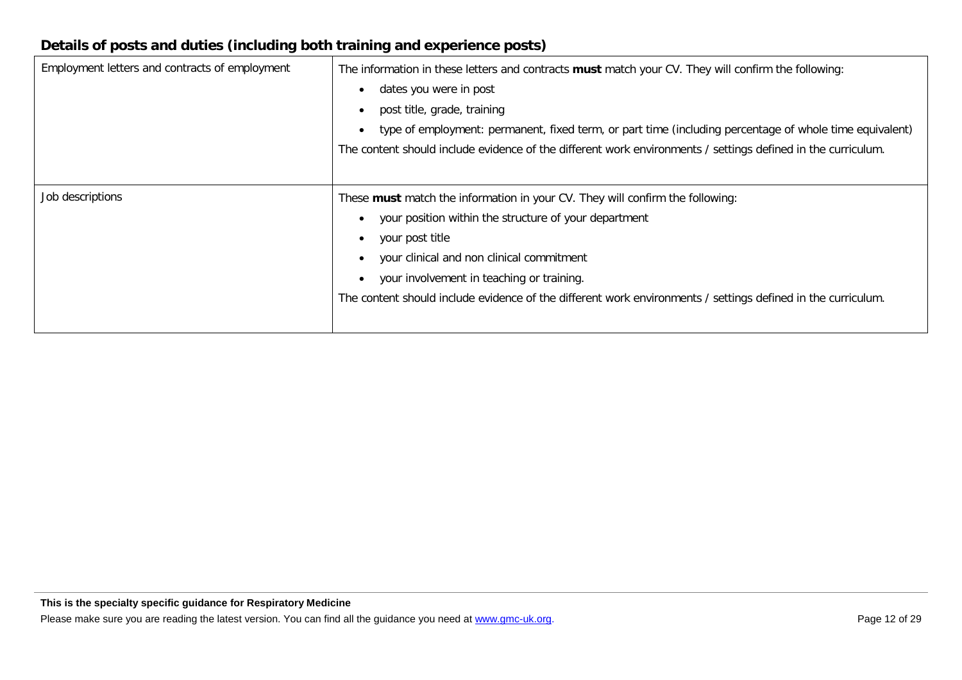#### **Details of posts and duties (including both training and experience posts)**

| Employment letters and contracts of employment | The information in these letters and contracts must match your CV. They will confirm the following:<br>dates you were in post<br>post title, grade, training<br>$\bullet$<br>type of employment: permanent, fixed term, or part time (including percentage of whole time equivalent)<br>$\bullet$<br>The content should include evidence of the different work environments / settings defined in the curriculum. |
|------------------------------------------------|-------------------------------------------------------------------------------------------------------------------------------------------------------------------------------------------------------------------------------------------------------------------------------------------------------------------------------------------------------------------------------------------------------------------|
| Job descriptions                               | These must match the information in your CV. They will confirm the following:<br>your position within the structure of your department<br>your post title<br>$\bullet$<br>your clinical and non clinical commitment<br>your involvement in teaching or training.<br>The content should include evidence of the different work environments / settings defined in the curriculum.                                  |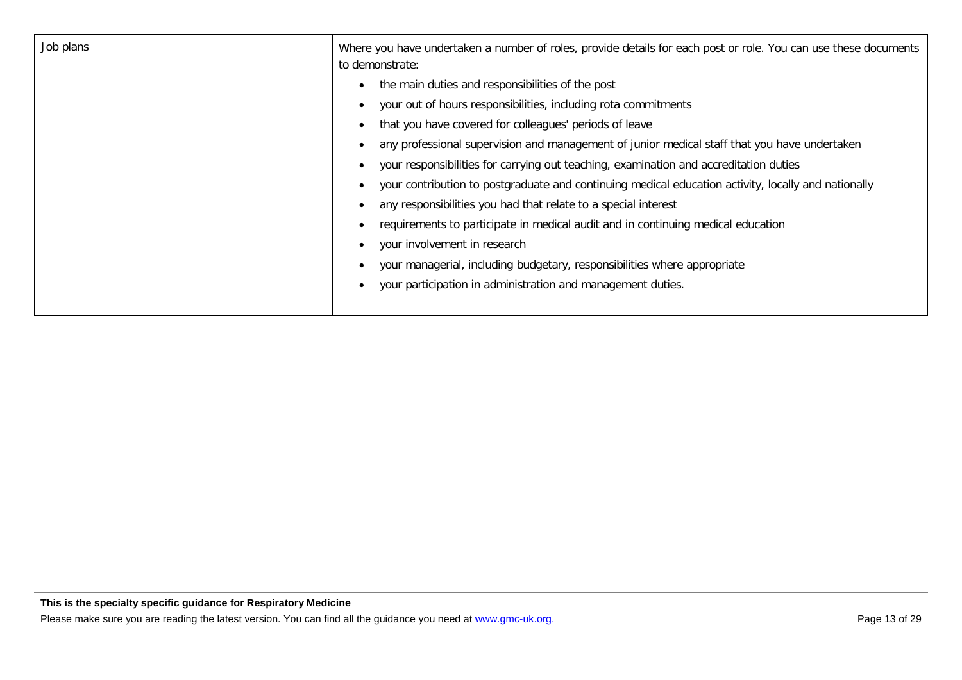| Job plans | Where you have undertaken a number of roles, provide details for each post or role. You can use these documents<br>to demonstrate: |
|-----------|------------------------------------------------------------------------------------------------------------------------------------|
|           | the main duties and responsibilities of the post                                                                                   |
|           | your out of hours responsibilities, including rota commitments                                                                     |
|           | that you have covered for colleagues' periods of leave                                                                             |
|           | any professional supervision and management of junior medical staff that you have undertaken                                       |
|           | your responsibilities for carrying out teaching, examination and accreditation duties                                              |
|           | your contribution to postgraduate and continuing medical education activity, locally and nationally                                |
|           | any responsibilities you had that relate to a special interest                                                                     |
|           | requirements to participate in medical audit and in continuing medical education                                                   |
|           | your involvement in research                                                                                                       |
|           | your managerial, including budgetary, responsibilities where appropriate                                                           |
|           | your participation in administration and management duties.                                                                        |
|           |                                                                                                                                    |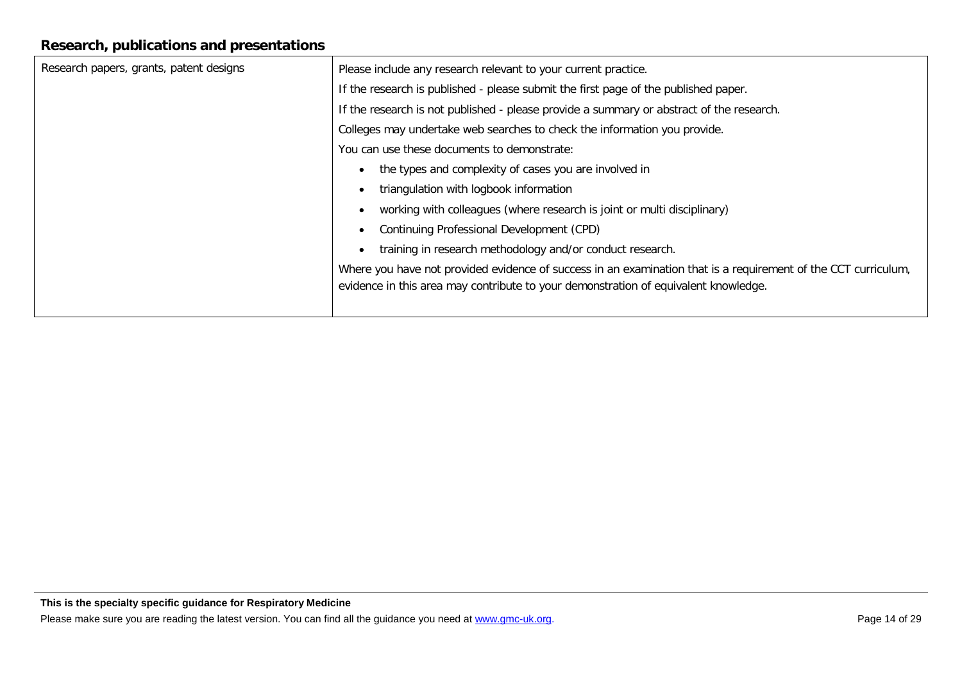#### **Research, publications and presentations**

| Research papers, grants, patent designs | Please include any research relevant to your current practice.                                                 |
|-----------------------------------------|----------------------------------------------------------------------------------------------------------------|
|                                         | If the research is published - please submit the first page of the published paper.                            |
|                                         | If the research is not published - please provide a summary or abstract of the research.                       |
|                                         | Colleges may undertake web searches to check the information you provide.                                      |
|                                         | You can use these documents to demonstrate:                                                                    |
|                                         | the types and complexity of cases you are involved in                                                          |
|                                         | triangulation with logbook information                                                                         |
|                                         | working with colleagues (where research is joint or multi disciplinary)                                        |
|                                         | Continuing Professional Development (CPD)                                                                      |
|                                         | training in research methodology and/or conduct research.                                                      |
|                                         | Where you have not provided evidence of success in an examination that is a requirement of the CCT curriculum, |
|                                         | evidence in this area may contribute to your demonstration of equivalent knowledge.                            |
|                                         |                                                                                                                |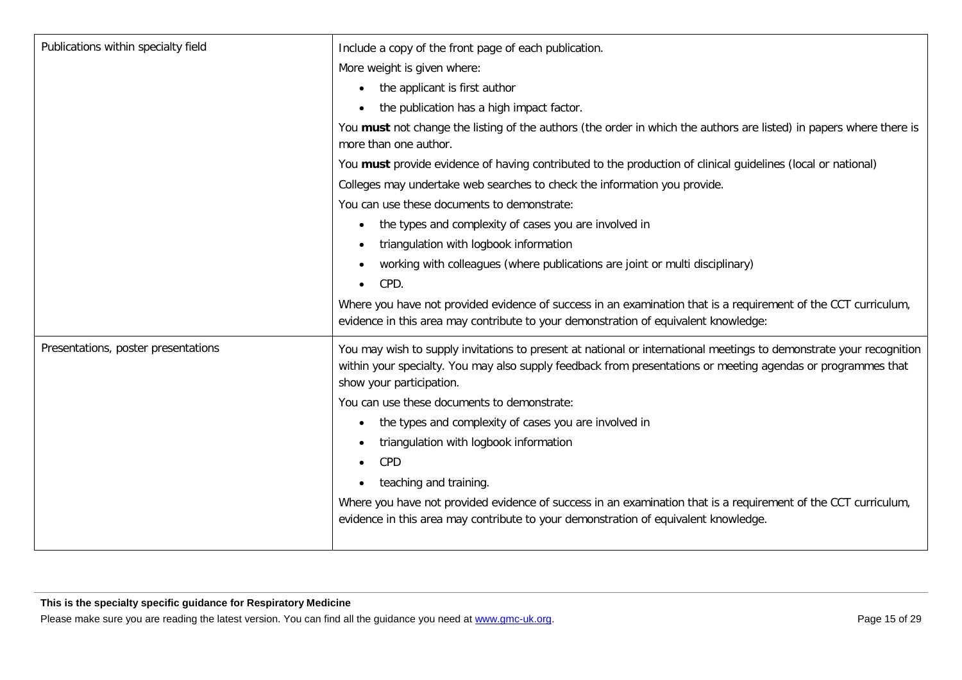| Publications within specialty field | Include a copy of the front page of each publication.                                                                                                                                                                                                           |
|-------------------------------------|-----------------------------------------------------------------------------------------------------------------------------------------------------------------------------------------------------------------------------------------------------------------|
|                                     | More weight is given where:                                                                                                                                                                                                                                     |
|                                     | the applicant is first author                                                                                                                                                                                                                                   |
|                                     | the publication has a high impact factor.                                                                                                                                                                                                                       |
|                                     | You must not change the listing of the authors (the order in which the authors are listed) in papers where there is<br>more than one author.                                                                                                                    |
|                                     | You must provide evidence of having contributed to the production of clinical guidelines (local or national)                                                                                                                                                    |
|                                     | Colleges may undertake web searches to check the information you provide.                                                                                                                                                                                       |
|                                     | You can use these documents to demonstrate:                                                                                                                                                                                                                     |
|                                     | the types and complexity of cases you are involved in<br>$\bullet$                                                                                                                                                                                              |
|                                     | triangulation with logbook information<br>$\bullet$                                                                                                                                                                                                             |
|                                     | working with colleagues (where publications are joint or multi disciplinary)                                                                                                                                                                                    |
|                                     | CPD.<br>$\bullet$                                                                                                                                                                                                                                               |
|                                     | Where you have not provided evidence of success in an examination that is a requirement of the CCT curriculum,<br>evidence in this area may contribute to your demonstration of equivalent knowledge:                                                           |
| Presentations, poster presentations | You may wish to supply invitations to present at national or international meetings to demonstrate your recognition<br>within your specialty. You may also supply feedback from presentations or meeting agendas or programmes that<br>show your participation. |
|                                     | You can use these documents to demonstrate:                                                                                                                                                                                                                     |
|                                     | the types and complexity of cases you are involved in<br>$\bullet$                                                                                                                                                                                              |
|                                     | triangulation with logbook information                                                                                                                                                                                                                          |
|                                     | CPD<br>$\bullet$                                                                                                                                                                                                                                                |
|                                     | teaching and training.                                                                                                                                                                                                                                          |
|                                     | Where you have not provided evidence of success in an examination that is a requirement of the CCT curriculum,                                                                                                                                                  |
|                                     | evidence in this area may contribute to your demonstration of equivalent knowledge.                                                                                                                                                                             |
|                                     |                                                                                                                                                                                                                                                                 |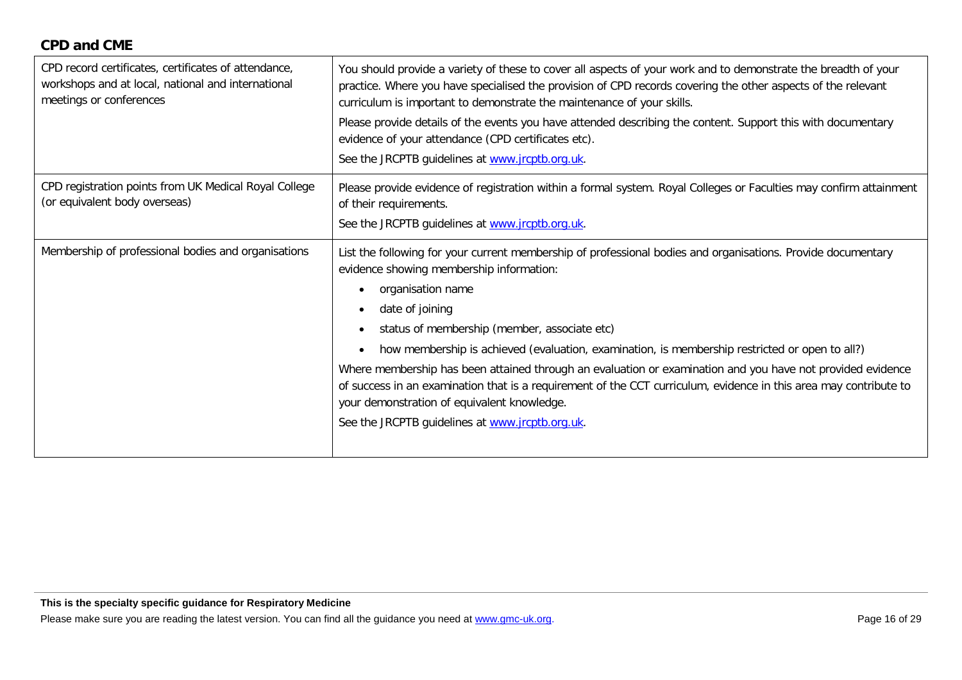| CPD record certificates, certificates of attendance,<br>workshops and at local, national and international<br>meetings or conferences | You should provide a variety of these to cover all aspects of your work and to demonstrate the breadth of your<br>practice. Where you have specialised the provision of CPD records covering the other aspects of the relevant<br>curriculum is important to demonstrate the maintenance of your skills.<br>Please provide details of the events you have attended describing the content. Support this with documentary<br>evidence of your attendance (CPD certificates etc).<br>See the JRCPTB guidelines at www.jrcptb.org.uk.                                                                                                                                                                                                  |
|---------------------------------------------------------------------------------------------------------------------------------------|-------------------------------------------------------------------------------------------------------------------------------------------------------------------------------------------------------------------------------------------------------------------------------------------------------------------------------------------------------------------------------------------------------------------------------------------------------------------------------------------------------------------------------------------------------------------------------------------------------------------------------------------------------------------------------------------------------------------------------------|
| CPD registration points from UK Medical Royal College<br>(or equivalent body overseas)                                                | Please provide evidence of registration within a formal system. Royal Colleges or Faculties may confirm attainment<br>of their requirements.<br>See the JRCPTB guidelines at www.jrcptb.org.uk.                                                                                                                                                                                                                                                                                                                                                                                                                                                                                                                                     |
| Membership of professional bodies and organisations                                                                                   | List the following for your current membership of professional bodies and organisations. Provide documentary<br>evidence showing membership information:<br>organisation name<br>٠<br>date of joining<br>$\bullet$<br>status of membership (member, associate etc)<br>$\bullet$<br>how membership is achieved (evaluation, examination, is membership restricted or open to all?)<br>$\bullet$<br>Where membership has been attained through an evaluation or examination and you have not provided evidence<br>of success in an examination that is a requirement of the CCT curriculum, evidence in this area may contribute to<br>your demonstration of equivalent knowledge.<br>See the JRCPTB guidelines at www.jrcptb.org.uk. |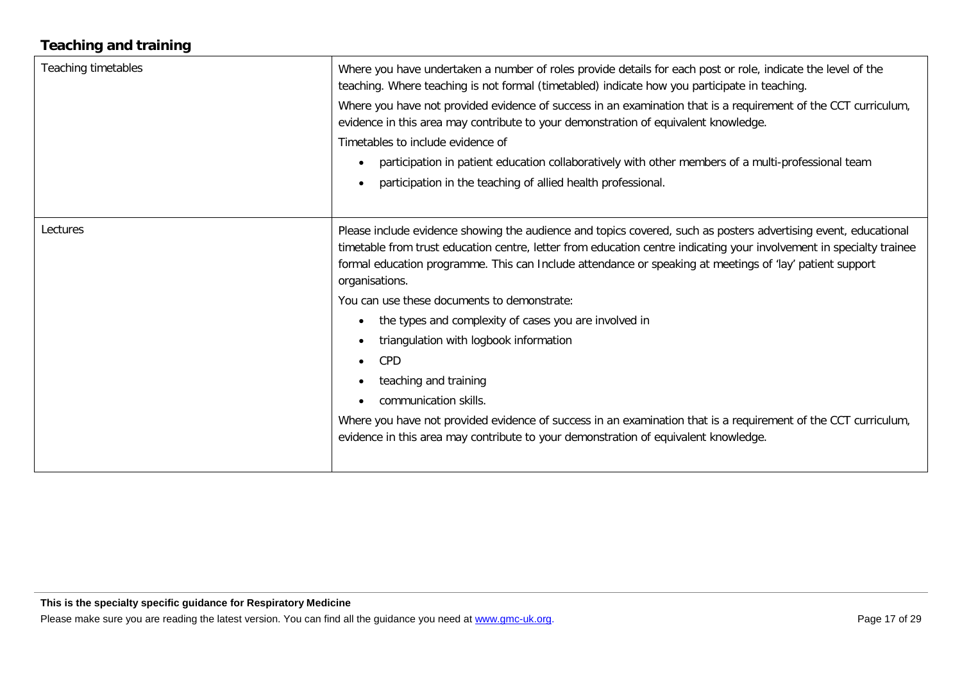## **Teaching and training**

| Teaching timetables | Where you have undertaken a number of roles provide details for each post or role, indicate the level of the<br>teaching. Where teaching is not formal (timetabled) indicate how you participate in teaching.<br>Where you have not provided evidence of success in an examination that is a requirement of the CCT curriculum,<br>evidence in this area may contribute to your demonstration of equivalent knowledge.<br>Timetables to include evidence of<br>participation in patient education collaboratively with other members of a multi-professional team<br>$\bullet$<br>participation in the teaching of allied health professional.<br>$\bullet$                                                                                                                                                                                   |
|---------------------|-----------------------------------------------------------------------------------------------------------------------------------------------------------------------------------------------------------------------------------------------------------------------------------------------------------------------------------------------------------------------------------------------------------------------------------------------------------------------------------------------------------------------------------------------------------------------------------------------------------------------------------------------------------------------------------------------------------------------------------------------------------------------------------------------------------------------------------------------|
| Lectures            | Please include evidence showing the audience and topics covered, such as posters advertising event, educational<br>timetable from trust education centre, letter from education centre indicating your involvement in specialty trainee<br>formal education programme. This can Include attendance or speaking at meetings of 'lay' patient support<br>organisations.<br>You can use these documents to demonstrate:<br>the types and complexity of cases you are involved in<br>$\bullet$<br>triangulation with logbook information<br>$\bullet$<br>CPD<br>$\bullet$<br>teaching and training<br>$\bullet$<br>communication skills.<br>Where you have not provided evidence of success in an examination that is a requirement of the CCT curriculum,<br>evidence in this area may contribute to your demonstration of equivalent knowledge. |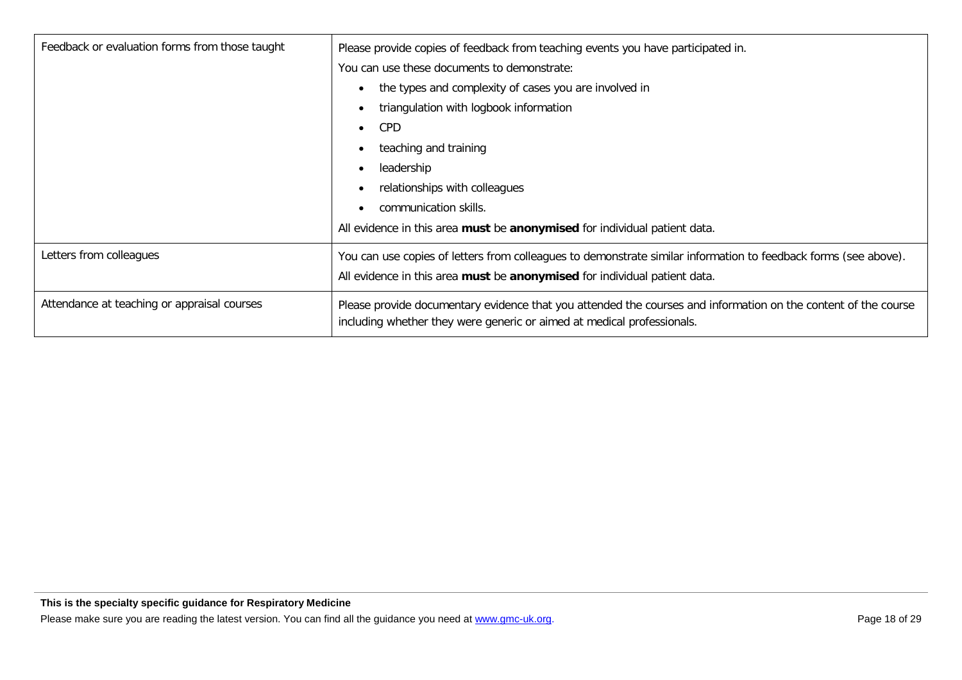| Feedback or evaluation forms from those taught | Please provide copies of feedback from teaching events you have participated in.                                                                                                         |
|------------------------------------------------|------------------------------------------------------------------------------------------------------------------------------------------------------------------------------------------|
|                                                | You can use these documents to demonstrate:                                                                                                                                              |
|                                                | the types and complexity of cases you are involved in                                                                                                                                    |
|                                                | triangulation with logbook information                                                                                                                                                   |
|                                                | <b>CPD</b>                                                                                                                                                                               |
|                                                | teaching and training                                                                                                                                                                    |
|                                                | leadership                                                                                                                                                                               |
|                                                | relationships with colleagues                                                                                                                                                            |
|                                                | communication skills.                                                                                                                                                                    |
|                                                | All evidence in this area must be anonymised for individual patient data.                                                                                                                |
| Letters from colleagues                        | You can use copies of letters from colleagues to demonstrate similar information to feedback forms (see above).                                                                          |
|                                                | All evidence in this area must be anonymised for individual patient data.                                                                                                                |
| Attendance at teaching or appraisal courses    | Please provide documentary evidence that you attended the courses and information on the content of the course<br>including whether they were generic or aimed at medical professionals. |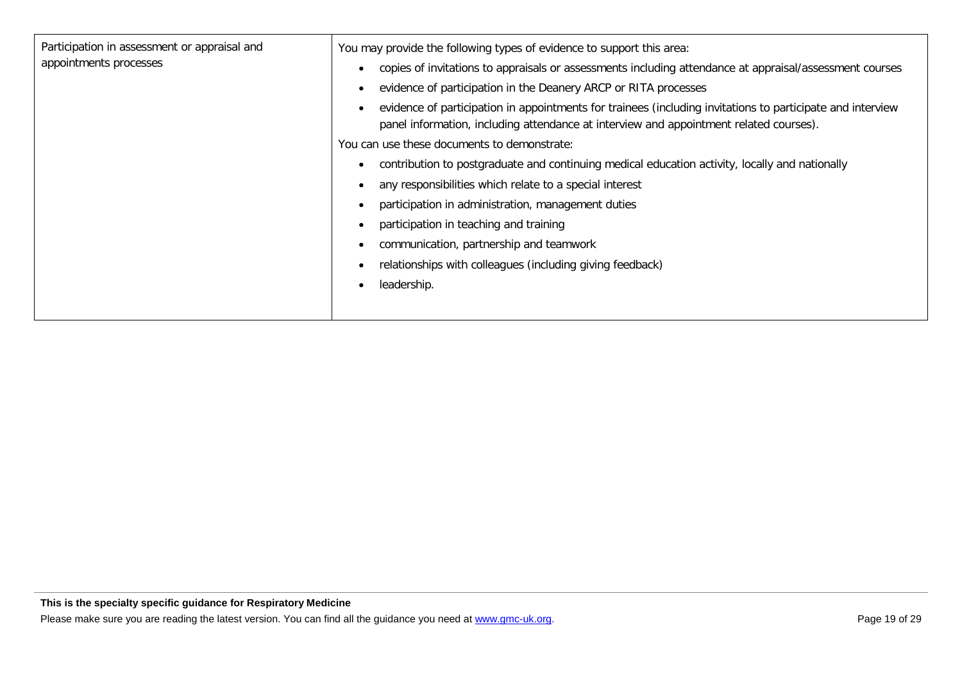| Participation in assessment or appraisal and<br>You may provide the following types of evidence to support this area:<br>appointments processes<br>copies of invitations to appraisals or assessments including attendance at appraisal/assessment courses<br>$\bullet$<br>evidence of participation in the Deanery ARCP or RITA processes<br>$\bullet$<br>evidence of participation in appointments for trainees (including invitations to participate and interview<br>$\bullet$<br>panel information, including attendance at interview and appointment related courses).<br>You can use these documents to demonstrate:<br>contribution to postgraduate and continuing medical education activity, locally and nationally<br>٠<br>any responsibilities which relate to a special interest<br>٠<br>participation in administration, management duties<br>$\bullet$<br>participation in teaching and training<br>communication, partnership and teamwork<br>relationships with colleagues (including giving feedback)<br>leadership.<br>$\bullet$ |
|-----------------------------------------------------------------------------------------------------------------------------------------------------------------------------------------------------------------------------------------------------------------------------------------------------------------------------------------------------------------------------------------------------------------------------------------------------------------------------------------------------------------------------------------------------------------------------------------------------------------------------------------------------------------------------------------------------------------------------------------------------------------------------------------------------------------------------------------------------------------------------------------------------------------------------------------------------------------------------------------------------------------------------------------------------|
|-----------------------------------------------------------------------------------------------------------------------------------------------------------------------------------------------------------------------------------------------------------------------------------------------------------------------------------------------------------------------------------------------------------------------------------------------------------------------------------------------------------------------------------------------------------------------------------------------------------------------------------------------------------------------------------------------------------------------------------------------------------------------------------------------------------------------------------------------------------------------------------------------------------------------------------------------------------------------------------------------------------------------------------------------------|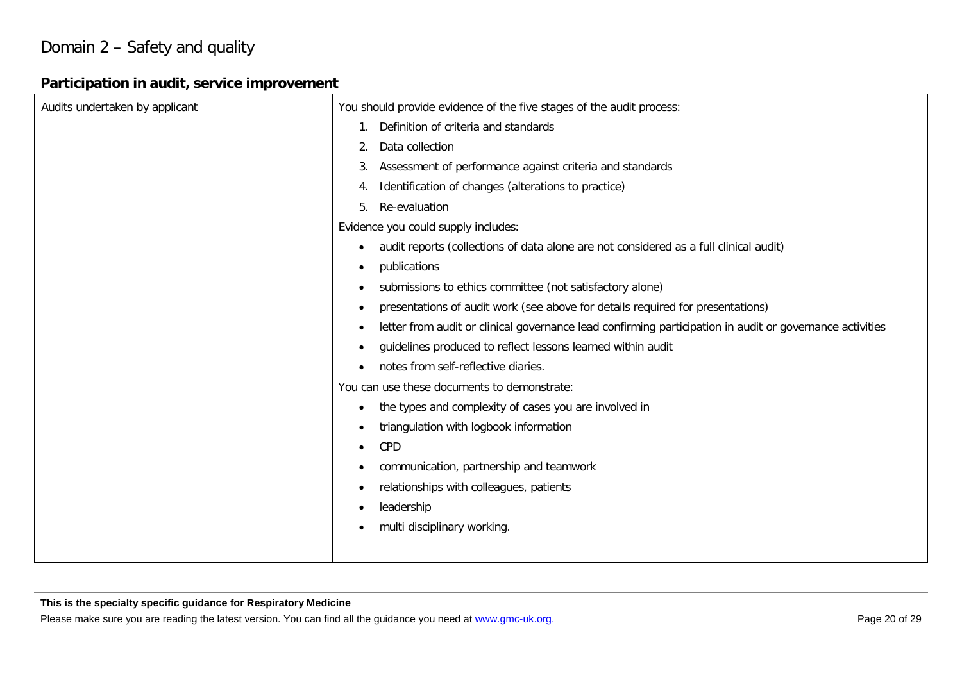## Domain 2 – Safety and quality

#### **Participation in audit, service improvement**

| You should provide evidence of the five stages of the audit process:                                                  |
|-----------------------------------------------------------------------------------------------------------------------|
| Definition of criteria and standards                                                                                  |
| Data collection<br>2.                                                                                                 |
| Assessment of performance against criteria and standards<br>3.                                                        |
| Identification of changes (alterations to practice)<br>4.                                                             |
| Re-evaluation<br>5.                                                                                                   |
| Evidence you could supply includes:                                                                                   |
| audit reports (collections of data alone are not considered as a full clinical audit)<br>$\bullet$                    |
| publications<br>$\bullet$                                                                                             |
| submissions to ethics committee (not satisfactory alone)<br>$\bullet$                                                 |
| presentations of audit work (see above for details required for presentations)<br>٠                                   |
| letter from audit or clinical governance lead confirming participation in audit or governance activities<br>$\bullet$ |
| guidelines produced to reflect lessons learned within audit<br>$\bullet$                                              |
| notes from self-reflective diaries.<br>$\bullet$                                                                      |
| You can use these documents to demonstrate:                                                                           |
| the types and complexity of cases you are involved in<br>٠                                                            |
| triangulation with logbook information<br>$\bullet$                                                                   |
| CPD<br>$\bullet$                                                                                                      |
| communication, partnership and teamwork<br>$\bullet$                                                                  |
| relationships with colleagues, patients<br>$\bullet$                                                                  |
| leadership<br>$\bullet$                                                                                               |
| multi disciplinary working.<br>٠                                                                                      |
|                                                                                                                       |
|                                                                                                                       |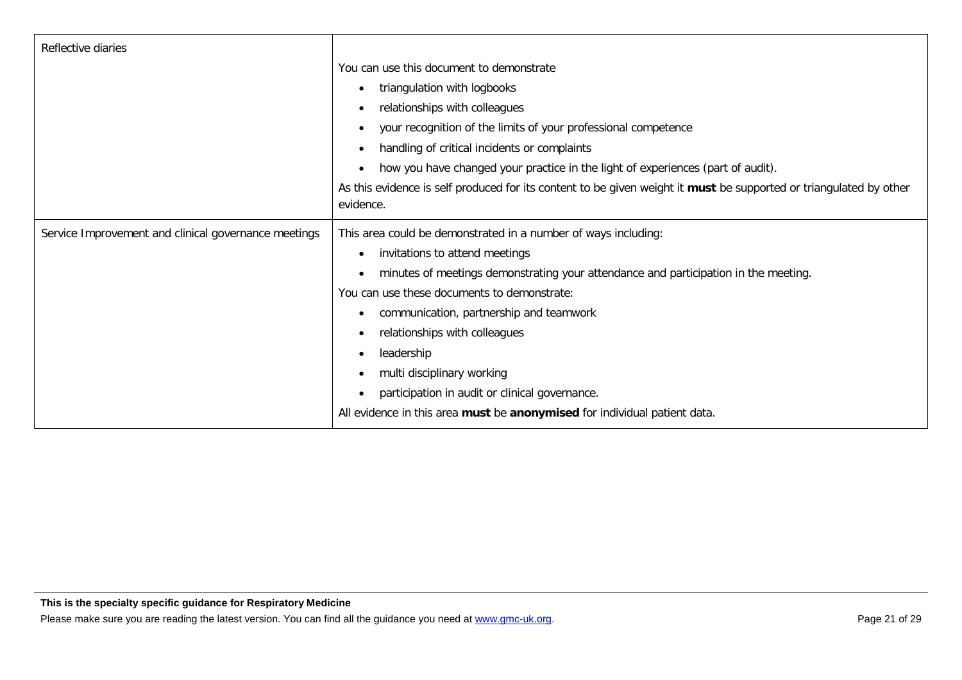| Reflective diaries                                   |                                                                                                                    |
|------------------------------------------------------|--------------------------------------------------------------------------------------------------------------------|
|                                                      | You can use this document to demonstrate                                                                           |
|                                                      | triangulation with logbooks<br>$\bullet$                                                                           |
|                                                      | relationships with colleagues<br>$\bullet$                                                                         |
|                                                      | your recognition of the limits of your professional competence<br>$\bullet$                                        |
|                                                      | handling of critical incidents or complaints<br>$\bullet$                                                          |
|                                                      | how you have changed your practice in the light of experiences (part of audit).<br>$\bullet$                       |
|                                                      | As this evidence is self produced for its content to be given weight it must be supported or triangulated by other |
|                                                      | evidence.                                                                                                          |
| Service Improvement and clinical governance meetings | This area could be demonstrated in a number of ways including:                                                     |
|                                                      | invitations to attend meetings<br>$\bullet$                                                                        |
|                                                      | minutes of meetings demonstrating your attendance and participation in the meeting.                                |
|                                                      | You can use these documents to demonstrate:                                                                        |
|                                                      | communication, partnership and teamwork<br>$\bullet$                                                               |
|                                                      | relationships with colleagues<br>$\bullet$                                                                         |
|                                                      | leadership<br>$\bullet$                                                                                            |
|                                                      | multi disciplinary working<br>$\bullet$                                                                            |
|                                                      | participation in audit or clinical governance.<br>$\bullet$                                                        |
|                                                      | All evidence in this area must be anonymised for individual patient data.                                          |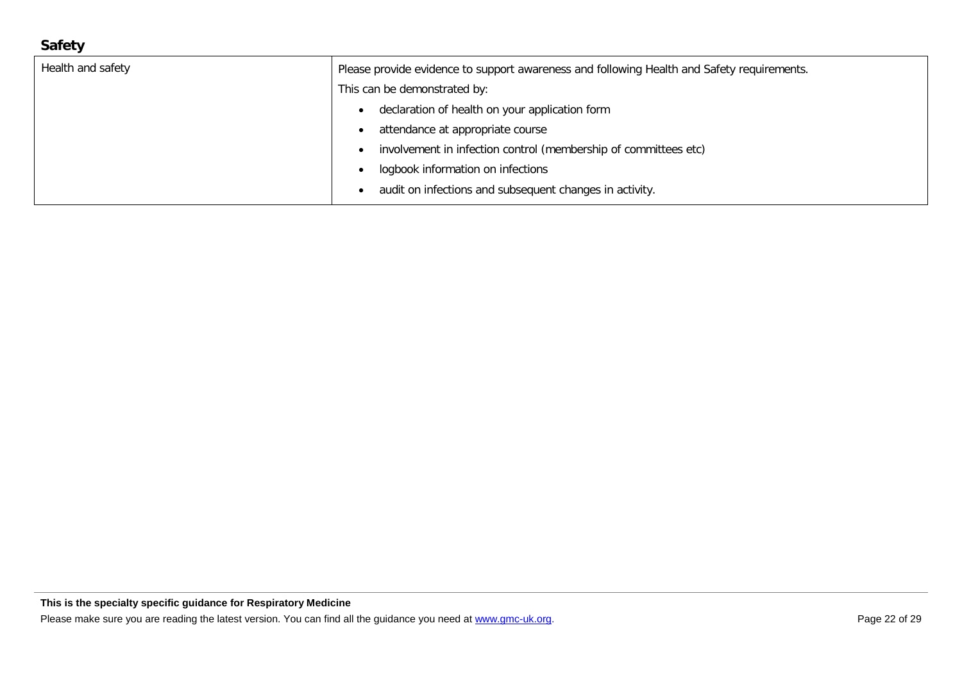#### **Safety**

| Health and safety | Please provide evidence to support awareness and following Health and Safety requirements. |
|-------------------|--------------------------------------------------------------------------------------------|
|                   | This can be demonstrated by:                                                               |
|                   | declaration of health on your application form                                             |
|                   | attendance at appropriate course                                                           |
|                   | involvement in infection control (membership of committees etc)                            |
|                   | logbook information on infections                                                          |
|                   | audit on infections and subsequent changes in activity.                                    |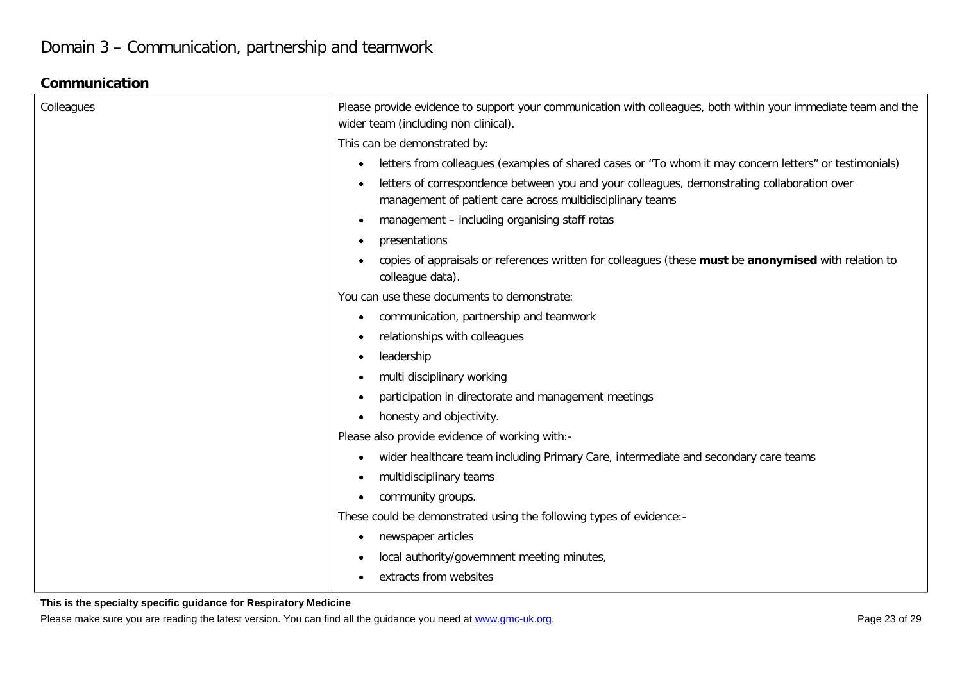#### **Communication**

| Colleagues | Please provide evidence to support your communication with colleagues, both within your immediate team and the<br>wider team (including non clinical).                |
|------------|-----------------------------------------------------------------------------------------------------------------------------------------------------------------------|
|            | This can be demonstrated by:                                                                                                                                          |
|            | letters from colleagues (examples of shared cases or "To whom it may concern letters" or testimonials)<br>$\bullet$                                                   |
|            | letters of correspondence between you and your colleagues, demonstrating collaboration over<br>$\bullet$<br>management of patient care across multidisciplinary teams |
|            | management - including organising staff rotas<br>$\bullet$                                                                                                            |
|            | presentations<br>$\bullet$                                                                                                                                            |
|            | copies of appraisals or references written for colleagues (these must be anonymised with relation to<br>colleague data).                                              |
|            | You can use these documents to demonstrate:                                                                                                                           |
|            | communication, partnership and teamwork<br>$\bullet$                                                                                                                  |
|            | relationships with colleagues<br>$\bullet$                                                                                                                            |
|            | leadership<br>$\bullet$                                                                                                                                               |
|            | multi disciplinary working<br>$\bullet$                                                                                                                               |
|            | participation in directorate and management meetings<br>$\bullet$                                                                                                     |
|            | honesty and objectivity.<br>$\bullet$                                                                                                                                 |
|            | Please also provide evidence of working with:-                                                                                                                        |
|            | wider healthcare team including Primary Care, intermediate and secondary care teams<br>$\bullet$                                                                      |
|            | multidisciplinary teams<br>$\bullet$                                                                                                                                  |
|            | community groups.<br>$\bullet$                                                                                                                                        |
|            | These could be demonstrated using the following types of evidence:-                                                                                                   |
|            | newspaper articles<br>$\bullet$                                                                                                                                       |
|            | local authority/government meeting minutes,<br>$\bullet$                                                                                                              |
|            | extracts from websites<br>$\bullet$                                                                                                                                   |

**This is the specialty specific guidance for Respiratory Medicine**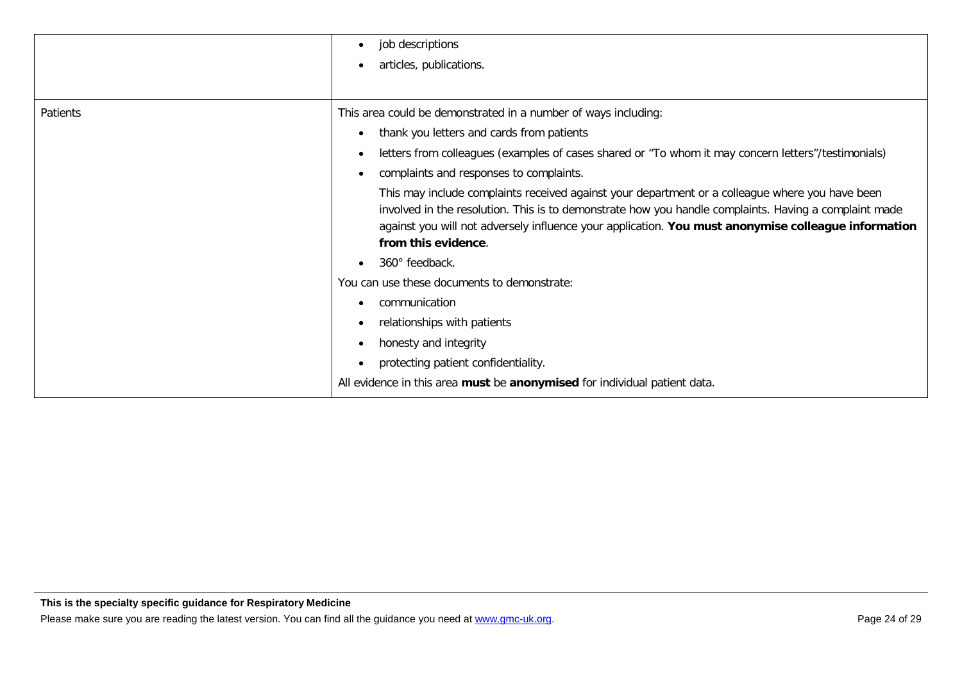|          | job descriptions<br>$\bullet$<br>articles, publications.<br>$\bullet$                                                                                                                                                                                                                                                                  |
|----------|----------------------------------------------------------------------------------------------------------------------------------------------------------------------------------------------------------------------------------------------------------------------------------------------------------------------------------------|
| Patients | This area could be demonstrated in a number of ways including:                                                                                                                                                                                                                                                                         |
|          | thank you letters and cards from patients                                                                                                                                                                                                                                                                                              |
|          | letters from colleagues (examples of cases shared or "To whom it may concern letters"/testimonials)<br>$\bullet$                                                                                                                                                                                                                       |
|          | complaints and responses to complaints.                                                                                                                                                                                                                                                                                                |
|          | This may include complaints received against your department or a colleague where you have been<br>involved in the resolution. This is to demonstrate how you handle complaints. Having a complaint made<br>against you will not adversely influence your application. You must anonymise colleague information<br>from this evidence. |
|          | 360° feedback.                                                                                                                                                                                                                                                                                                                         |
|          | You can use these documents to demonstrate:                                                                                                                                                                                                                                                                                            |
|          | communication                                                                                                                                                                                                                                                                                                                          |
|          | relationships with patients                                                                                                                                                                                                                                                                                                            |
|          | honesty and integrity                                                                                                                                                                                                                                                                                                                  |
|          | protecting patient confidentiality.<br>$\bullet$                                                                                                                                                                                                                                                                                       |
|          | All evidence in this area must be anonymised for individual patient data.                                                                                                                                                                                                                                                              |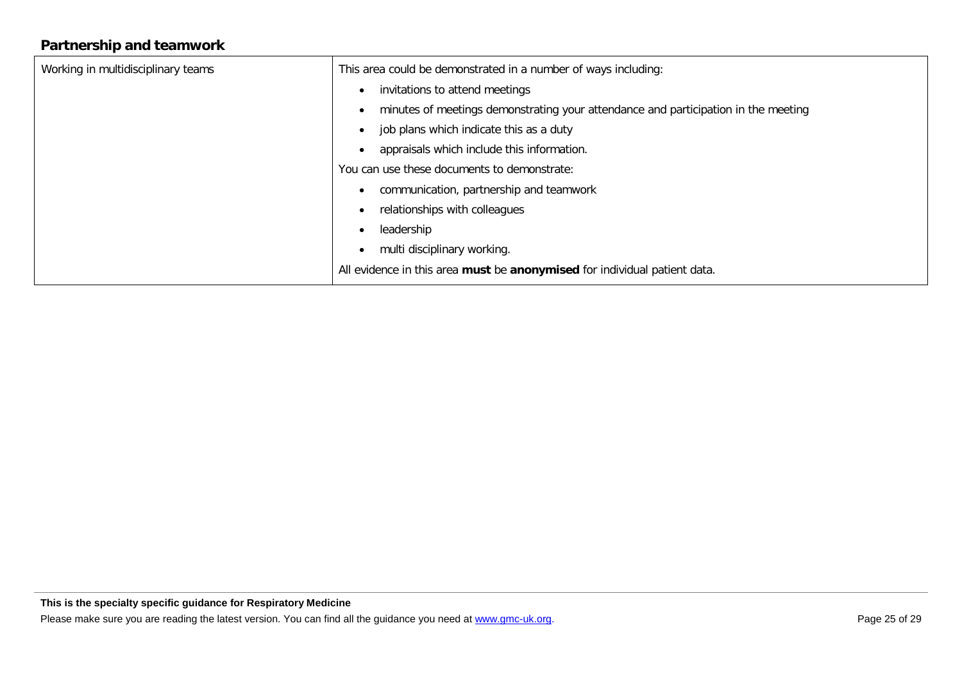## **Partnership and teamwork**

| Working in multidisciplinary teams | This area could be demonstrated in a number of ways including:                     |
|------------------------------------|------------------------------------------------------------------------------------|
|                                    | invitations to attend meetings                                                     |
|                                    | minutes of meetings demonstrating your attendance and participation in the meeting |
|                                    | job plans which indicate this as a duty                                            |
|                                    | appraisals which include this information.                                         |
|                                    | You can use these documents to demonstrate:                                        |
|                                    | communication, partnership and teamwork                                            |
|                                    | relationships with colleagues                                                      |
|                                    | leadership                                                                         |
|                                    | multi disciplinary working.                                                        |
|                                    | All evidence in this area must be anonymised for individual patient data.          |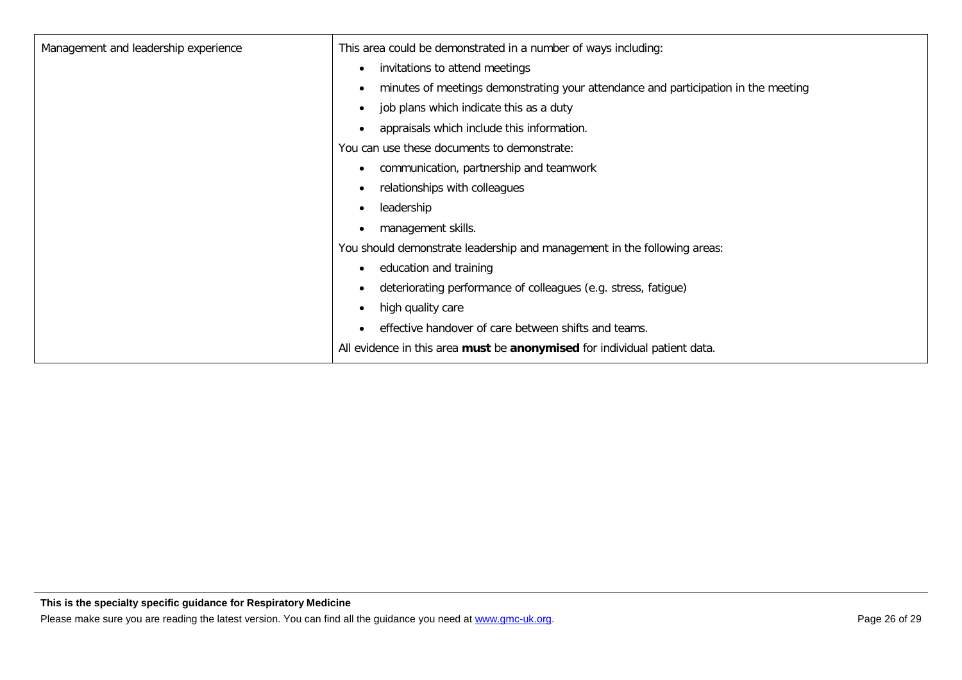| Management and leadership experience | This area could be demonstrated in a number of ways including:                                  |
|--------------------------------------|-------------------------------------------------------------------------------------------------|
|                                      |                                                                                                 |
|                                      | invitations to attend meetings<br>$\bullet$                                                     |
|                                      | minutes of meetings demonstrating your attendance and participation in the meeting<br>$\bullet$ |
|                                      | job plans which indicate this as a duty<br>$\bullet$                                            |
|                                      | appraisals which include this information.<br>$\bullet$                                         |
|                                      | You can use these documents to demonstrate:                                                     |
|                                      | communication, partnership and teamwork<br>$\bullet$                                            |
|                                      | relationships with colleagues<br>$\bullet$                                                      |
|                                      | leadership<br>$\bullet$                                                                         |
|                                      | management skills.<br>$\bullet$                                                                 |
|                                      | You should demonstrate leadership and management in the following areas:                        |
|                                      | education and training<br>$\bullet$                                                             |
|                                      | deteriorating performance of colleagues (e.g. stress, fatigue)<br>$\bullet$                     |
|                                      | high quality care<br>$\bullet$                                                                  |
|                                      | effective handover of care between shifts and teams.                                            |
|                                      | All evidence in this area must be anonymised for individual patient data.                       |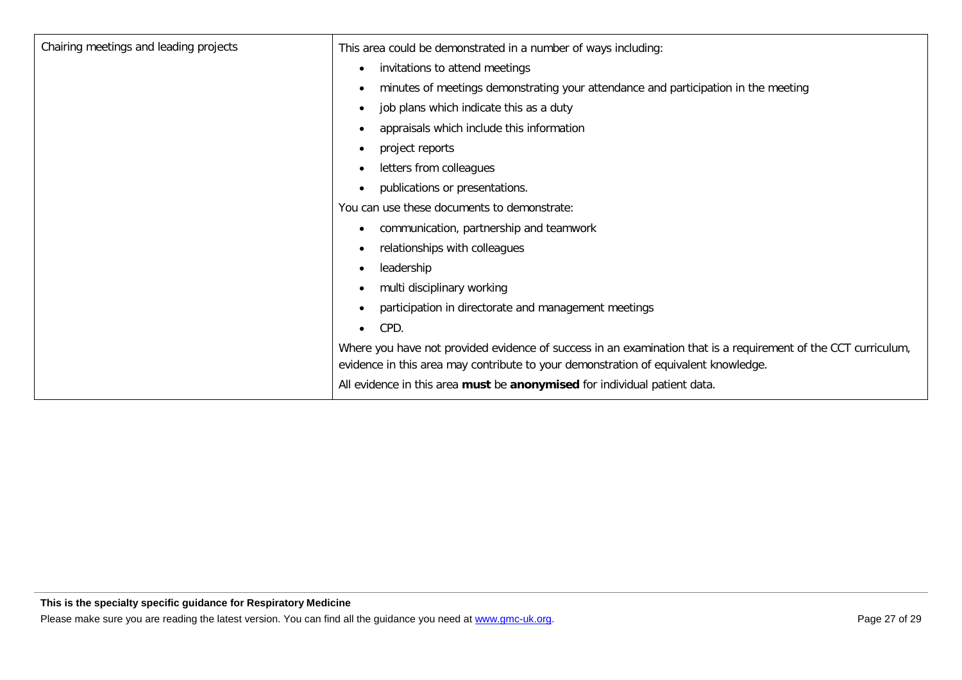| Chairing meetings and leading projects | This area could be demonstrated in a number of ways including:                                                                                                                                        |
|----------------------------------------|-------------------------------------------------------------------------------------------------------------------------------------------------------------------------------------------------------|
|                                        | invitations to attend meetings<br>$\bullet$                                                                                                                                                           |
|                                        | minutes of meetings demonstrating your attendance and participation in the meeting<br>$\bullet$                                                                                                       |
|                                        | job plans which indicate this as a duty<br>$\bullet$                                                                                                                                                  |
|                                        | appraisals which include this information                                                                                                                                                             |
|                                        | project reports<br>٠                                                                                                                                                                                  |
|                                        | letters from colleagues                                                                                                                                                                               |
|                                        | publications or presentations.<br>$\bullet$                                                                                                                                                           |
|                                        | You can use these documents to demonstrate:                                                                                                                                                           |
|                                        | communication, partnership and teamwork<br>$\bullet$                                                                                                                                                  |
|                                        | relationships with colleagues<br>$\bullet$                                                                                                                                                            |
|                                        | leadership<br>$\bullet$                                                                                                                                                                               |
|                                        | multi disciplinary working<br>$\bullet$                                                                                                                                                               |
|                                        | participation in directorate and management meetings<br>$\bullet$                                                                                                                                     |
|                                        | CPD.<br>$\bullet$                                                                                                                                                                                     |
|                                        | Where you have not provided evidence of success in an examination that is a requirement of the CCT curriculum,<br>evidence in this area may contribute to your demonstration of equivalent knowledge. |
|                                        | All evidence in this area must be anonymised for individual patient data.                                                                                                                             |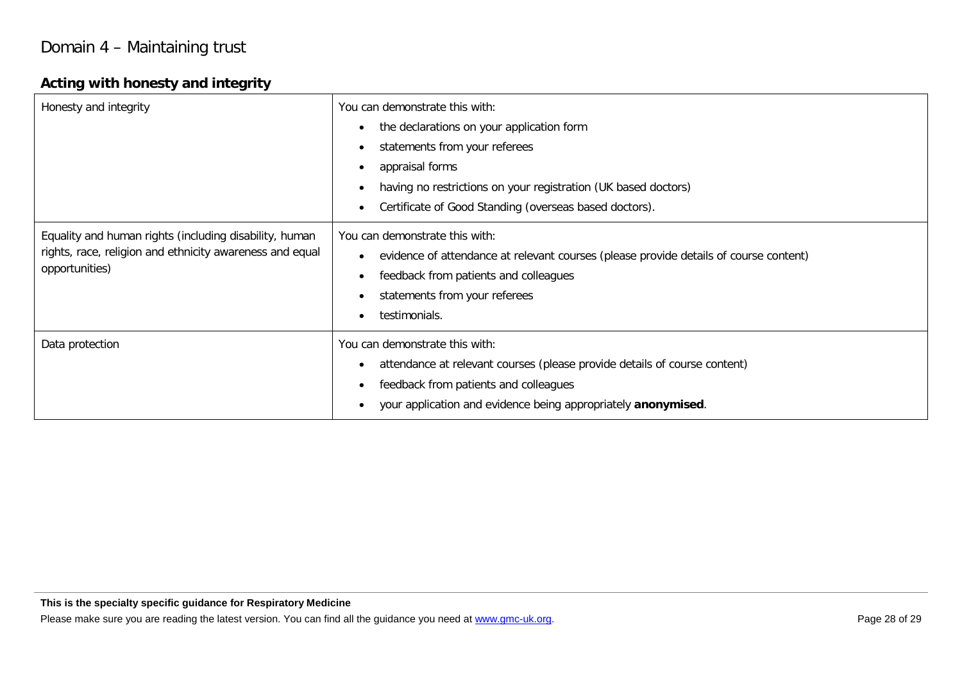## Domain 4 – Maintaining trust

#### **Acting with honesty and integrity**

| Honesty and integrity                                                                                                                | You can demonstrate this with:<br>the declarations on your application form<br>$\bullet$<br>statements from your referees<br>$\bullet$<br>appraisal forms<br>$\bullet$<br>having no restrictions on your registration (UK based doctors)<br>$\bullet$<br>Certificate of Good Standing (overseas based doctors).<br>$\bullet$ |
|--------------------------------------------------------------------------------------------------------------------------------------|------------------------------------------------------------------------------------------------------------------------------------------------------------------------------------------------------------------------------------------------------------------------------------------------------------------------------|
| Equality and human rights (including disability, human<br>rights, race, religion and ethnicity awareness and equal<br>opportunities) | You can demonstrate this with:<br>evidence of attendance at relevant courses (please provide details of course content)<br>$\bullet$<br>feedback from patients and colleagues<br>$\bullet$<br>statements from your referees<br>$\bullet$<br>testimonials.<br>$\bullet$                                                       |
| Data protection                                                                                                                      | You can demonstrate this with:<br>attendance at relevant courses (please provide details of course content)<br>$\bullet$<br>feedback from patients and colleagues<br>$\bullet$<br>your application and evidence being appropriately anonymised.                                                                              |